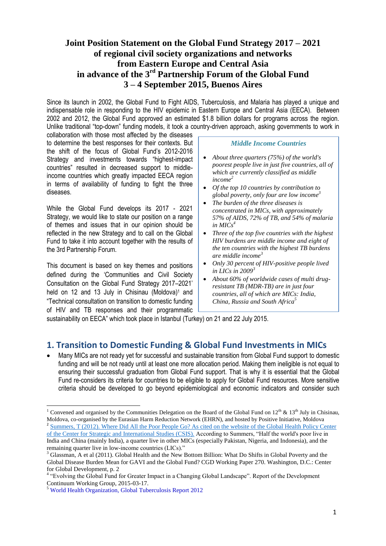# **Joint Position Statement on the Global Fund Strategy 2017 – 2021 of regional civil society organizations and networks from Eastern Europe and Central Asia in advance of the 3rd Partnership Forum of the Global Fund 3 – 4 September 2015, Buenos Aires**

Since its launch in 2002, the Global Fund to Fight AIDS, Tuberculosis, and Malaria has played a unique and indispensable role in responding to the HIV epidemic in Eastern Europe and Central Asia (EECA). Between 2002 and 2012, the Global Fund approved an estimated \$1.8 billion dollars for programs across the region. Unlike traditional "top-down" funding models, it took a country-driven approach, asking governments to work in

collaboration with those most affected by the diseases to determine the best responses for their contexts. But the shift of the focus of Global Fund"s 2012-2016 Strategy and investments towards "highest-impact countries" resulted in decreased support to middleincome countries which greatly impacted EECA region in terms of availability of funding to fight the three diseases.

While the Global Fund develops its 2017 - 2021 Strategy, we would like to state our position on a range of themes and issues that in our opinion should be reflected in the new Strategy and to call on the Global Fund to take it into account together with the results of the 3rd Partnership Forum.

This document is based on key themes and positions defined during the "Communities and Civil Society Consultation on the Global Fund Strategy 2017–2021" held on 12 and 13 July in Chisinau (Moldova)<sup>1</sup> and "Technical consultation on transition to domestic funding of HIV and TB responses and their programmatic

#### *Middle Income Countries*

- *About three quarters (75%) of the world's poorest people live in just five countries, all of which are currently classified as middle income<sup>2</sup>*
- *Of the top 10 countries by contribution to global poverty, only four are low income 3*
- *The burden of the three diseases is concentrated in MICs, with approximately 57% of AIDS, 72% of TB, and 54% of malaria in MICs<sup>4</sup>*
- *Three of the top five countries with the highest HIV burdens are middle income and eight of the ten countries with the highest TB burdens are middle income<sup>3</sup>*
- *Only 30 percent of HIV-positive people lived in LICs in 2009<sup>3</sup>*
- *About 60% of worldwide cases of multi drugresistant TB (MDR-TB) are in just four countries, all of which are MICs: India, China, Russia and South Africa<sup>5</sup>*

sustainability on EECA" which took place in Istanbul (Turkey) on 21 and 22 July 2015.

# **1. Transition to Domestic Funding & Global Fund Investments in MICs**

 Many MICs are not ready yet for successful and sustainable transition from Global Fund support to domestic funding and will be not ready until at least one more allocation period. Making them ineligible is not equal to ensuring their successful graduation from Global Fund support. That is why it is essential that the Global Fund re-considers its criteria for countries to be eligible to apply for Global Fund resources. More sensitive criteria should be developed to go beyond epidemiological and economic indicators and consider such

 $\overline{\phantom{a}}$ 

<sup>&</sup>lt;sup>1</sup> Convened and organised by the Communities Delegation on the Board of the Global Fund on  $12^{th}$  &  $13^{th}$  July in Chisinau, Moldova, co-organised by the Eurasian Harm Reduction Network (EHRN), and hosted by Positive Initiative, Moldova <sup>2</sup> Summers, T (2012). Where Did All the Poor People Go? As cited on the website of the Global Health Policy Center [of the Center for Strategic and International Studies \(CSIS\).](http://www.smartglobalhealth.org/blog/entry/where-did-all-the-poor-people-go/) According to Summers, "Half the world's poor live in India and China (mainly India), a quarter live in other MICs (especially Pakistan, Nigeria, and Indonesia), and the remaining quarter live in low-income countries (LICs)."

<sup>&</sup>lt;sup>3</sup> Glassman, A et al (2011). Global Health and the New Bottom Billion: What Do Shifts in Global Poverty and the Global Disease Burden Mean for GAVI and the Global Fund? CGD Working Paper 270. Washington, D.C.: Center for Global Development, p. 2

<sup>&</sup>lt;sup>4</sup> "Evolving the Global Fund for Greater Impact in a Changing Global Landscape". Report of the Development Continuum Working Group, 2015-03-17.

<sup>5</sup> World Health Organization, Global Tuberculosis Report 2012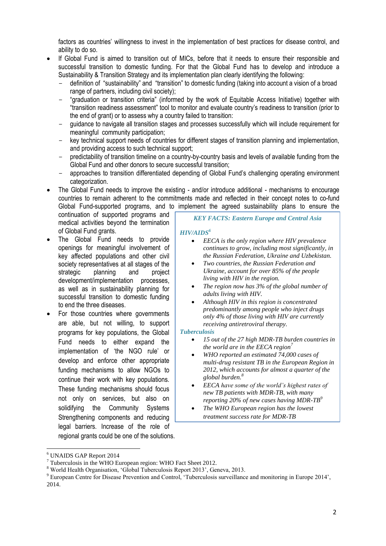factors as countries" willingness to invest in the implementation of best practices for disease control, and ability to do so.

- If Global Fund is aimed to transition out of MICs, before that it needs to ensure their responsible and successful transition to domestic funding. For that the Global Fund has to develop and introduce a Sustainability & Transition Strategy and its implementation plan clearly identifying the following:
	- definition of "sustainability" and "transition" to domestic funding (taking into account a vision of a broad range of partners, including civil society);
	- "graduation or transition criteria" (informed by the work of Equitable Access Initiative) together with "transition readiness assessment" tool to monitor and evaluate country"s readiness to transition (prior to the end of grant) or to assess why a country failed to transition:
	- guidance to navigate all transition stages and processes successfully which will include requirement for meaningful community participation;
	- key technical support needs of countries for different stages of transition planning and implementation, and providing access to such technical support;
	- predictability of transition timeline on a country-by-country basis and levels of available funding from the Global Fund and other donors to secure successful transition;
	- approaches to transition differentiated depending of Global Fund"s challenging operating environment categorization.
- The Global Fund needs to improve the existing and/or introduce additional mechanisms to encourage countries to remain adherent to the commitments made and reflected in their concept notes to co-fund Global Fund-supported programs, and to implement the agreed sustainability plans to ensure the

continuation of supported programs and medical activities beyond the termination of Global Fund grants.

- The Global Fund needs to provide openings for meaningful involvement of key affected populations and other civil society representatives at all stages of the strategic planning and project development/implementation processes, as well as in sustainability planning for successful transition to domestic funding to end the three diseases.
- For those countries where governments are able, but not willing, to support programs for key populations, the Global Fund needs to either expand the implementation of 'the NGO rule' or develop and enforce other appropriate funding mechanisms to allow NGOs to continue their work with key populations. These funding mechanisms should focus not only on services, but also on solidifying the Community Systems Strengthening components and reducing legal barriers. Increase of the role of regional grants could be one of the solutions.

### *KEY FACTS: Eastern Europe and Central Asia*

### *HIV/AIDS<sup>6</sup>*

- *EECA is the only region where HIV prevalence continues to grow, including most significantly, in the Russian Federation, Ukraine and Uzbekistan.*
- *Two countries, the Russian Federation and Ukraine, account for over 85% of the people living with HIV in the region.*
- *The region now has 3% of the global number of adults living with HIV.*
- *Although HIV in this region is concentrated predominantly among people who inject drugs only 4% of those living with HIV are currently receiving antiretroviral therapy.*

#### *Tuberculosis*

- *15 out of the 27 high MDR-TB burden countries in the world are in the EECA region*<sup>7</sup>
- *WHO reported an estimated 74,000 cases of multi-drug resistant TB in the European Region in 2012, which accounts for almost a quarter of the global burden.<sup>8</sup>*
- *EECA have some of the world's highest rates of new TB patients with MDR-TB, with many reporting 20% of new cases having MDR-TB<sup>9</sup>*
- *The WHO European region has the lowest treatment success rate for MDR-TB*

 $\overline{\phantom{a}}$ 

<sup>6</sup> UNAIDS GAP Report 2014

 $7$  Tuberculosis in the WHO European region: WHO Fact Sheet 2012.

<sup>8</sup> World Health Organisation, "Global Tuberculosis Report 2013", Geneva, 2013.

<sup>&</sup>lt;sup>9</sup> European Centre for Disease Prevention and Control, 'Tuberculosis surveillance and monitoring in Europe 2014', 2014.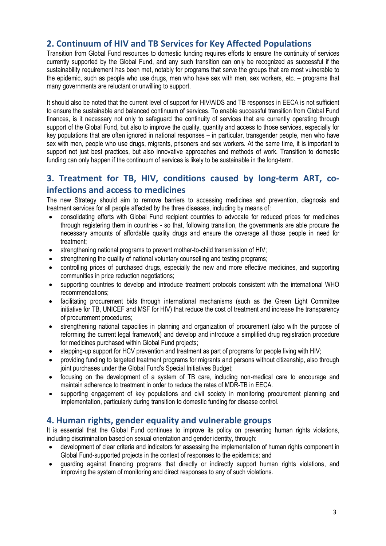# **2. Continuum of HIV and TB Services for Key Affected Populations**

Transition from Global Fund resources to domestic funding requires efforts to ensure the continuity of services currently supported by the Global Fund, and any such transition can only be recognized as successful if the sustainability requirement has been met, notably for programs that serve the groups that are most vulnerable to the epidemic, such as people who use drugs, men who have sex with men, sex workers, etc. – programs that many governments are reluctant or unwilling to support.

It should also be noted that the current level of support for HIV/AIDS and TB responses in EECA is not sufficient to ensure the sustainable and balanced continuum of services. To enable successful transition from Global Fund finances, is it necessary not only to safeguard the continuity of services that are currently operating through support of the Global Fund, but also to improve the quality, quantity and access to those services, especially for key populations that are often ignored in national responses – in particular, transgender people, men who have sex with men, people who use drugs, migrants, prisoners and sex workers. At the same time, it is important to support not just best practices, but also innovative approaches and methods of work. Transition to domestic funding can only happen if the continuum of services is likely to be sustainable in the long-term.

# **3. Treatment for TB, HIV, conditions caused by long-term ART, coinfections and access to medicines**

The new Strategy should aim to remove barriers to accessing medicines and prevention, diagnosis and treatment services for all people affected by the three diseases, including by means of:

- consolidating efforts with Global Fund recipient countries to advocate for reduced prices for medicines through registering them in countries - so that, following transition, the governments are able procure the necessary amounts of affordable quality drugs and ensure the coverage all those people in need for treatment;
- strengthening national programs to prevent mother-to-child transmission of HIV;
- strengthening the quality of national voluntary counselling and testing programs;
- controlling prices of purchased drugs, especially the new and more effective medicines, and supporting communities in price reduction negotiations;
- supporting countries to develop and introduce treatment protocols consistent with the international WHO recommendations;
- facilitating procurement bids through international mechanisms (such as the Green Light Committee initiative for TB, UNICEF and MSF for HIV) that reduce the cost of treatment and increase the transparency of procurement procedures;
- strengthening national capacities in planning and organization of procurement (also with the purpose of reforming the current legal framework) and develop and introduce a simplified drug registration procedure for medicines purchased within Global Fund projects;
- stepping-up support for HCV prevention and treatment as part of programs for people living with HIV;
- providing funding to targeted treatment programs for migrants and persons without citizenship, also through joint purchases under the Global Fund's Special Initiatives Budget;
- focusing on the development of a system of TB care, including non-medical care to encourage and maintain adherence to treatment in order to reduce the rates of MDR-TB in EECA.
- supporting engagement of key populations and civil society in monitoring procurement planning and implementation, particularly during transition to domestic funding for disease control.

# **4. Human rights, gender equality and vulnerable groups**

It is essential that the Global Fund continues to improve its policy on preventing human rights violations, including discrimination based on sexual orientation and gender identity, through:

- development of clear criteria and indicators for assessing the implementation of human rights component in Global Fund-supported projects in the context of responses to the epidemics; and
- guarding against financing programs that directly or indirectly support human rights violations, and improving the system of monitoring and direct responses to any of such violations.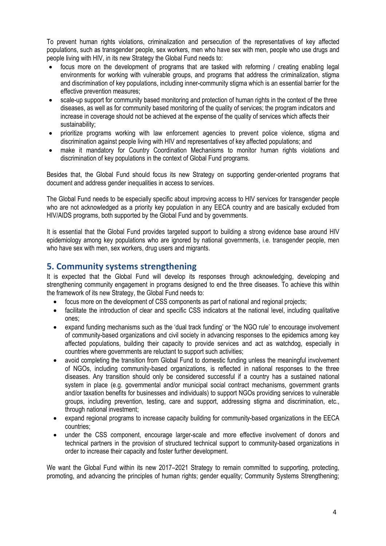To prevent human rights violations, criminalization and persecution of the representatives of key affected populations, such as transgender people, sex workers, men who have sex with men, people who use drugs and people living with HIV, in its new Strategy the Global Fund needs to:

- focus more on the development of programs that are tasked with reforming / creating enabling legal environments for working with vulnerable groups, and programs that address the criminalization, stigma and discrimination of key populations, including inner-community stigma which is an essential barrier for the effective prevention measures;
- scale-up support for community based monitoring and protection of human rights in the context of the three diseases, as well as for community based monitoring of the quality of services; the program indicators and increase in coverage should not be achieved at the expense of the quality of services which affects their sustainability;
- prioritize programs working with law enforcement agencies to prevent police violence, stigma and discrimination against people living with HIV and representatives of key affected populations; and
- make it mandatory for Country Coordination Mechanisms to monitor human rights violations and discrimination of key populations in the context of Global Fund programs.

Besides that, the Global Fund should focus its new Strategy on supporting gender-oriented programs that document and address gender inequalities in access to services.

The Global Fund needs to be especially specific about improving access to HIV services for transgender people who are not acknowledged as a priority key population in any EECA country and are basically excluded from HIV/AIDS programs, both supported by the Global Fund and by governments.

It is essential that the Global Fund provides targeted support to building a strong evidence base around HIV epidemiology among key populations who are ignored by national governments, i.e. transgender people, men who have sex with men, sex workers, drug users and migrants.

# **5. Community systems strengthening**

It is expected that the Global Fund will develop its responses through acknowledging, developing and strengthening community engagement in programs designed to end the three diseases. To achieve this within the framework of its new Strategy, the Global Fund needs to:

- focus more on the development of CSS components as part of national and regional projects;
- facilitate the introduction of clear and specific CSS indicators at the national level, including qualitative ones;
- expand funding mechanisms such as the "dual track funding" or "the NGO rule" to encourage involvement of community-based organizations and civil society in advancing responses to the epidemics among key affected populations, building their capacity to provide services and act as watchdog, especially in countries where governments are reluctant to support such activities;
- avoid completing the transition from Global Fund to domestic funding unless the meaningful involvement of NGOs, including community-based organizations, is reflected in national responses to the three diseases. Any transition should only be considered successful if a country has a sustained national system in place (e.g. governmental and/or municipal social contract mechanisms, government grants and/or taxation benefits for businesses and individuals) to support NGOs providing services to vulnerable groups, including prevention, testing, care and support, addressing stigma and discrimination, etc., through national investment;
- expand regional programs to increase capacity building for community-based organizations in the EECA countries;
- under the CSS component, encourage larger-scale and more effective involvement of donors and technical partners in the provision of structured technical support to community-based organizations in order to increase their capacity and foster further development.

We want the Global Fund within its new 2017–2021 Strategy to remain committed to supporting, protecting, promoting, and advancing the principles of human rights; gender equality; Community Systems Strengthening;